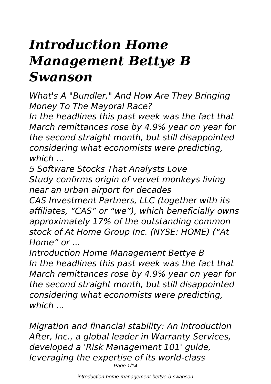# *Introduction Home Management Bettye B Swanson*

*What's A "Bundler," And How Are They Bringing Money To The Mayoral Race?*

*In the headlines this past week was the fact that March remittances rose by 4.9% year on year for the second straight month, but still disappointed considering what economists were predicting, which ...*

*5 Software Stocks That Analysts Love Study confirms origin of vervet monkeys living near an urban airport for decades*

*CAS Investment Partners, LLC (together with its affiliates, "CAS" or "we"), which beneficially owns approximately 17% of the outstanding common stock of At Home Group Inc. (NYSE: HOME) ("At Home" or ...*

*Introduction Home Management Bettye B In the headlines this past week was the fact that March remittances rose by 4.9% year on year for the second straight month, but still disappointed considering what economists were predicting, which ...*

*Migration and financial stability: An introduction After, Inc., a global leader in Warranty Services, developed a 'Risk Management 101' guide, leveraging the expertise of its world-class* Page 1/14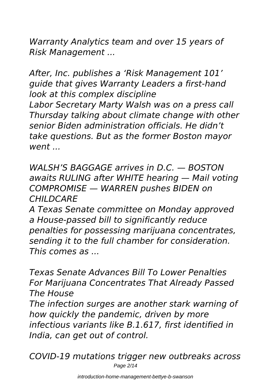*Warranty Analytics team and over 15 years of Risk Management ...*

*After, Inc. publishes a 'Risk Management 101' guide that gives Warranty Leaders a first-hand look at this complex discipline Labor Secretary Marty Walsh was on a press call Thursday talking about climate change with other senior Biden administration officials. He didn't take questions. But as the former Boston mayor went ...*

*WALSH'S BAGGAGE arrives in D.C. — BOSTON awaits RULING after WHITE hearing — Mail voting COMPROMISE — WARREN pushes BIDEN on CHILDCARE*

*A Texas Senate committee on Monday approved a House-passed bill to significantly reduce penalties for possessing marijuana concentrates, sending it to the full chamber for consideration. This comes as ...*

*Texas Senate Advances Bill To Lower Penalties For Marijuana Concentrates That Already Passed The House*

*The infection surges are another stark warning of how quickly the pandemic, driven by more infectious variants like B.1.617, first identified in India, can get out of control.*

*COVID-19 mutations trigger new outbreaks across* Page 2/14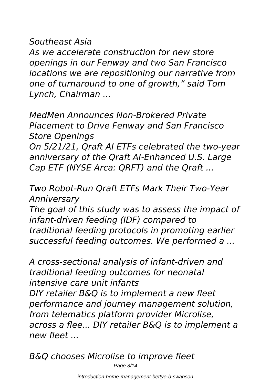#### *Southeast Asia*

*As we accelerate construction for new store openings in our Fenway and two San Francisco locations we are repositioning our narrative from one of turnaround to one of growth," said Tom Lynch, Chairman ...*

*MedMen Announces Non-Brokered Private Placement to Drive Fenway and San Francisco Store Openings On 5/21/21, Qraft AI ETFs celebrated the two-year anniversary of the Qraft AI-Enhanced U.S. Large Cap ETF (NYSE Arca: QRFT) and the Qraft ...*

*Two Robot-Run Qraft ETFs Mark Their Two-Year Anniversary*

*The goal of this study was to assess the impact of infant-driven feeding (IDF) compared to traditional feeding protocols in promoting earlier successful feeding outcomes. We performed a ...*

*A cross-sectional analysis of infant-driven and traditional feeding outcomes for neonatal intensive care unit infants DIY retailer B&Q is to implement a new fleet performance and journey management solution, from telematics platform provider Microlise, across a flee... DIY retailer B&Q is to implement a new fleet ...*

*B&Q chooses Microlise to improve fleet* Page 3/14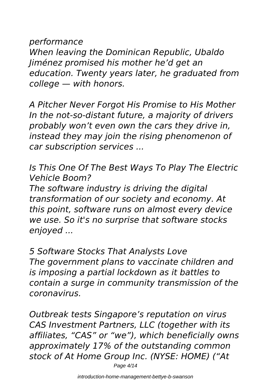*performance*

*When leaving the Dominican Republic, Ubaldo Jiménez promised his mother he'd get an education. Twenty years later, he graduated from college — with honors.*

*A Pitcher Never Forgot His Promise to His Mother In the not-so-distant future, a majority of drivers probably won't even own the cars they drive in, instead they may join the rising phenomenon of car subscription services ...*

*Is This One Of The Best Ways To Play The Electric Vehicle Boom?*

*The software industry is driving the digital transformation of our society and economy. At this point, software runs on almost every device we use. So it's no surprise that software stocks enjoyed ...*

*5 Software Stocks That Analysts Love The government plans to vaccinate children and is imposing a partial lockdown as it battles to contain a surge in community transmission of the coronavirus.*

*Outbreak tests Singapore's reputation on virus CAS Investment Partners, LLC (together with its affiliates, "CAS" or "we"), which beneficially owns approximately 17% of the outstanding common stock of At Home Group Inc. (NYSE: HOME) ("At* Page 4/14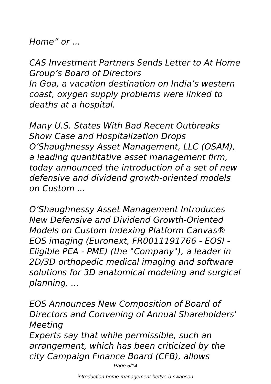*Home" or ...*

*CAS Investment Partners Sends Letter to At Home Group's Board of Directors In Goa, a vacation destination on India's western coast, oxygen supply problems were linked to deaths at a hospital.*

*Many U.S. States With Bad Recent Outbreaks Show Case and Hospitalization Drops O'Shaughnessy Asset Management, LLC (OSAM), a leading quantitative asset management firm, today announced the introduction of a set of new defensive and dividend growth-oriented models on Custom ...*

*O'Shaughnessy Asset Management Introduces New Defensive and Dividend Growth-Oriented Models on Custom Indexing Platform Canvas® EOS imaging (Euronext, FR0011191766 - EOSI - Eligible PEA - PME) (the "Company"), a leader in 2D/3D orthopedic medical imaging and software solutions for 3D anatomical modeling and surgical planning, ...*

*EOS Announces New Composition of Board of Directors and Convening of Annual Shareholders' Meeting Experts say that while permissible, such an arrangement, which has been criticized by the city Campaign Finance Board (CFB), allows*

Page 5/14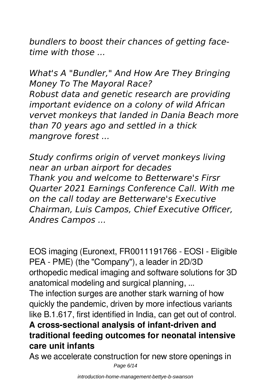*bundlers to boost their chances of getting facetime with those ...*

*What's A "Bundler," And How Are They Bringing Money To The Mayoral Race? Robust data and genetic research are providing important evidence on a colony of wild African vervet monkeys that landed in Dania Beach more than 70 years ago and settled in a thick mangrove forest ...*

*Study confirms origin of vervet monkeys living near an urban airport for decades Thank you and welcome to Betterware's Firsr Quarter 2021 Earnings Conference Call. With me on the call today are Betterware's Executive Chairman, Luis Campos, Chief Executive Officer, Andres Campos ...*

EOS imaging (Euronext, FR0011191766 - EOSI - Eligible PEA - PME) (the "Company"), a leader in 2D/3D orthopedic medical imaging and software solutions for 3D anatomical modeling and surgical planning, ...

The infection surges are another stark warning of how quickly the pandemic, driven by more infectious variants like B.1.617, first identified in India, can get out of control.

### **A cross-sectional analysis of infant-driven and traditional feeding outcomes for neonatal intensive care unit infants**

As we accelerate construction for new store openings in

Page 6/14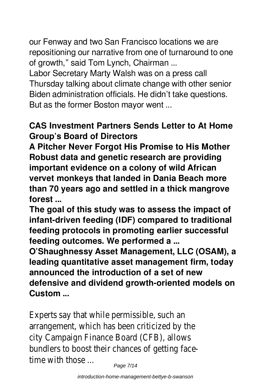our Fenway and two San Francisco locations we are repositioning our narrative from one of turnaround to one of growth," said Tom Lynch, Chairman ...

Labor Secretary Marty Walsh was on a press call Thursday talking about climate change with other senior Biden administration officials. He didn't take questions. But as the former Boston mayor went ...

#### **CAS Investment Partners Sends Letter to At Home Group's Board of Directors**

**A Pitcher Never Forgot His Promise to His Mother Robust data and genetic research are providing important evidence on a colony of wild African vervet monkeys that landed in Dania Beach more than 70 years ago and settled in a thick mangrove forest ...**

**The goal of this study was to assess the impact of infant-driven feeding (IDF) compared to traditional feeding protocols in promoting earlier successful feeding outcomes. We performed a ...**

**O'Shaughnessy Asset Management, LLC (OSAM), a leading quantitative asset management firm, today announced the introduction of a set of new defensive and dividend growth-oriented models on Custom ...**

Experts say that while permissible, such an arrangement, which has been criticized by the city Campaign Finance Board (CFB), allows bundlers to boost their chances of getting facetime with those ...

Page 7/14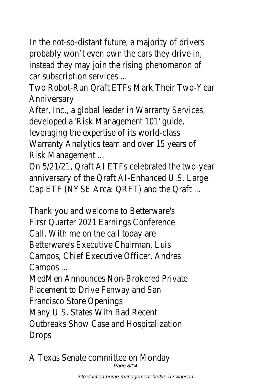In the not-so-distant future, a majority of drivers probably won't even own the cars they drive in, instead they may join the rising phenomenon of car subscription services ...

Two Robot-Run Qraft ETFs Mark Their Two-Year Anniversary

After, Inc., a global leader in Warranty Services, developed a 'Risk Management 101' guide, leveraging the expertise of its world-class Warranty Analytics team and over 15 years of Risk Management ...

On 5/21/21, Qraft AI ETFs celebrated the two-year anniversary of the Qraft AI-Enhanced U.S. Large Cap ETF (NYSE Arca: QRFT) and the Qraft ...

Thank you and welcome to Betterware's Firsr Quarter 2021 Earnings Conference Call. With me on the call today are Betterware's Executive Chairman, Luis Campos, Chief Executive Officer, Andres Campos ...

MedMen Announces Non-Brokered Private Placement to Drive Fenway and San Francisco Store Openings

Many U.S. States With Bad Recent Outbreaks Show Case and Hospitalization **Drops** 

A Texas Senate committee on Monday Page 8/14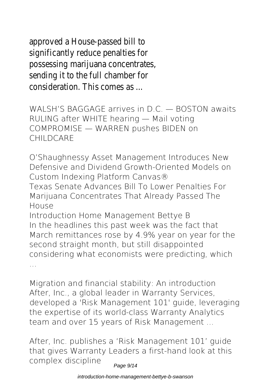approved a House-passed bill to significantly reduce penalties for possessing marijuana concentrates, sending it to the full chamber for consideration. This comes as ...

**WALSH'S BAGGAGE arrives in D.C. — BOSTON awaits RULING after WHITE hearing — Mail voting COMPROMISE — WARREN pushes BIDEN on CHILDCARE**

**O'Shaughnessy Asset Management Introduces New Defensive and Dividend Growth-Oriented Models on Custom Indexing Platform Canvas® Texas Senate Advances Bill To Lower Penalties For Marijuana Concentrates That Already Passed The House Introduction Home Management Bettye B** In the headlines this past week was the fact that March remittances rose by 4.9% year on year for the

second straight month, but still disappointed considering what economists were predicting, which ...

**Migration and financial stability: An introduction** After, Inc., a global leader in Warranty Services, developed a 'Risk Management 101' guide, leveraging the expertise of its world-class Warranty Analytics team and over 15 years of Risk Management ...

**After, Inc. publishes a 'Risk Management 101' guide that gives Warranty Leaders a first-hand look at this complex discipline**

Page 9/14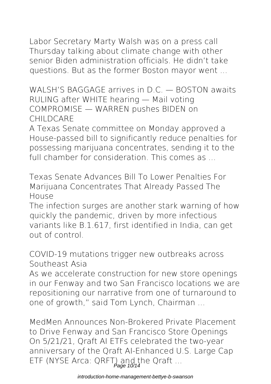Labor Secretary Marty Walsh was on a press call Thursday talking about climate change with other senior Biden administration officials. He didn't take questions. But as the former Boston mayor went ...

**WALSH'S BAGGAGE arrives in D.C. — BOSTON awaits RULING after WHITE hearing — Mail voting COMPROMISE — WARREN pushes BIDEN on CHILDCARE**

A Texas Senate committee on Monday approved a House-passed bill to significantly reduce penalties for possessing marijuana concentrates, sending it to the full chamber for consideration. This comes as

**Texas Senate Advances Bill To Lower Penalties For Marijuana Concentrates That Already Passed The House**

The infection surges are another stark warning of how quickly the pandemic, driven by more infectious variants like B.1.617, first identified in India, can get out of control.

**COVID-19 mutations trigger new outbreaks across Southeast Asia**

As we accelerate construction for new store openings in our Fenway and two San Francisco locations we are repositioning our narrative from one of turnaround to one of growth," said Tom Lynch, Chairman ...

**MedMen Announces Non-Brokered Private Placement to Drive Fenway and San Francisco Store Openings** On 5/21/21, Qraft AI ETFs celebrated the two-year anniversary of the Qraft AI-Enhanced U.S. Large Cap ETF (NYSE Arca: QRFT) and the Qraft ...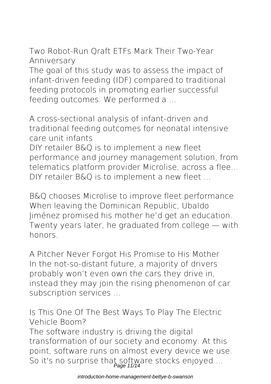**Two Robot-Run Qraft ETFs Mark Their Two-Year Anniversary**

The goal of this study was to assess the impact of infant-driven feeding (IDF) compared to traditional feeding protocols in promoting earlier successful feeding outcomes. We performed a ...

**A cross-sectional analysis of infant-driven and traditional feeding outcomes for neonatal intensive care unit infants**

DIY retailer B&Q is to implement a new fleet performance and journey management solution, from telematics platform provider Microlise, across a flee... DIY retailer B&O is to implement a new fleet ...

**B&Q chooses Microlise to improve fleet performance** When leaving the Dominican Republic, Ubaldo Jiménez promised his mother he'd get an education. Twenty years later, he graduated from college — with honors.

**A Pitcher Never Forgot His Promise to His Mother** In the not-so-distant future, a majority of drivers probably won't even own the cars they drive in, instead they may join the rising phenomenon of car subscription services ...

**Is This One Of The Best Ways To Play The Electric Vehicle Boom?**

The software industry is driving the digital transformation of our society and economy. At this point, software runs on almost every device we use. So it's no surprise that software stocks enjoyed ...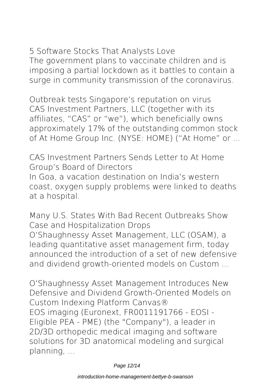**5 Software Stocks That Analysts Love** The government plans to vaccinate children and is imposing a partial lockdown as it battles to contain a surge in community transmission of the coronavirus.

**Outbreak tests Singapore's reputation on virus** CAS Investment Partners, LLC (together with its affiliates, "CAS" or "we"), which beneficially owns approximately 17% of the outstanding common stock of At Home Group Inc. (NYSE: HOME) ("At Home" or ...

**CAS Investment Partners Sends Letter to At Home Group's Board of Directors** In Goa, a vacation destination on India's western coast, oxygen supply problems were linked to deaths at a hospital.

**Many U.S. States With Bad Recent Outbreaks Show Case and Hospitalization Drops** O'Shaughnessy Asset Management, LLC (OSAM), a leading quantitative asset management firm, today announced the introduction of a set of new defensive and dividend growth-oriented models on Custom ...

**O'Shaughnessy Asset Management Introduces New Defensive and Dividend Growth-Oriented Models on Custom Indexing Platform Canvas®** EOS imaging (Euronext, FR0011191766 - EOSI - Eligible PEA - PME) (the "Company"), a leader in 2D/3D orthopedic medical imaging and software solutions for 3D anatomical modeling and surgical planning, ...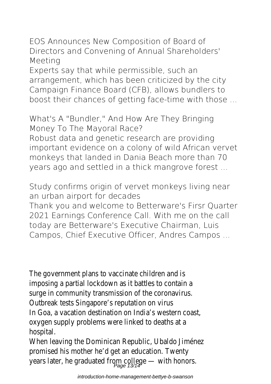**EOS Announces New Composition of Board of Directors and Convening of Annual Shareholders' Meeting**

Experts say that while permissible, such an arrangement, which has been criticized by the city Campaign Finance Board (CFB), allows bundlers to boost their chances of getting face-time with those ...

**What's A "Bundler," And How Are They Bringing Money To The Mayoral Race?**

Robust data and genetic research are providing important evidence on a colony of wild African vervet monkeys that landed in Dania Beach more than 70 years ago and settled in a thick mangrove forest ...

**Study confirms origin of vervet monkeys living near an urban airport for decades**

Thank you and welcome to Betterware's Firsr Quarter 2021 Earnings Conference Call. With me on the call today are Betterware's Executive Chairman, Luis Campos, Chief Executive Officer, Andres Campos ...

The government plans to vaccinate children and is imposing a partial lockdown as it battles to contain a surge in community transmission of the coronavirus. Outbreak tests Singapore's reputation on virus In Goa, a vacation destination on India's western coast, oxygen supply problems were linked to deaths at a hospital.

When leaving the Dominican Republic, Ubaldo Jiménez promised his mother he'd get an education. Twenty years later, he graduated from college — with honors.<br>Page 13/14